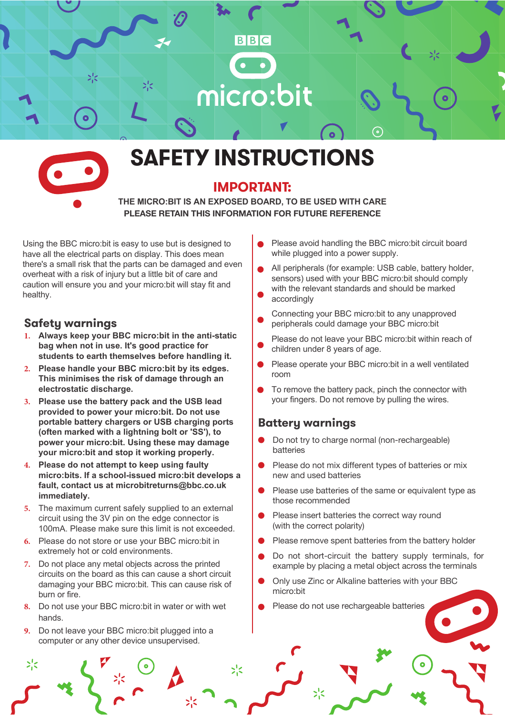



# **SAFETY INSTRUCTIONS**

## **IMPORTANT:**

**THE MICRO:BIT IS AN EXPOSED BOARD, TO BE USED WITH CARE PLEASE RETAIN THIS INFORMATION FOR FUTURE REFERENCE**

 $>1$ 

Using the BBC micro:bit is easy to use but is designed to have all the electrical parts on display. This does mean there's a small risk that the parts can be damaged and even overheat with a risk of injury but a little bit of care and caution will ensure you and your micro:bit will stay fit and healthy.

#### **Safety warnings**

- **1. Always keep your BBC micro:bit in the anti-static bag when not in use. It's good practice for students to earth themselves before handling it.**
- **2. Please handle your BBC micro:bit by its edges. This minimises the risk of damage through an electrostatic discharge.**
- **3. Please use the battery pack and the USB lead provided to power your micro:bit. Do not use portable battery chargers or USB charging ports (often marked with a lightning bolt or 'SS'), to power your micro:bit. Using these may damage your micro:bit and stop it working properly.**
- **4. Please do not attempt to keep using faulty micro:bits. If a school-issued micro:bit develops a fault, contact us at microbitreturns@bbc.co.uk immediately.**
- **5.** The maximum current safely supplied to an external circuit using the 3V pin on the edge connector is 100mA. Please make sure this limit is not exceeded.
- **6.** Please do not store or use your BBC micro:bit in extremely hot or cold environments.
- **7.** Do not place any metal objects across the printed circuits on the board as this can cause a short circuit damaging your BBC micro:bit. This can cause risk of burn or fire.
- **8.** Do not use your BBC micro:bit in water or with wet hands.
- **9.** Do not leave your BBC micro: bit plugged into a computer or any other device unsupervised.

ジく

- Please avoid handling the BBC micro:bit circuit board while plugged into a power supply.
- All peripherals (for example: USB cable, battery holder, sensors) used with your BBC micro:bit should comply with the relevant standards and should be marked accordingly
- Connecting your BBC micro:bit to any unapproved peripherals could damage your BBC micro:bit
- Please do not leave your BBC micro:bit within reach of children under 8 years of age.
- Please operate your BBC micro:bit in a well ventilated room
- To remove the battery pack, pinch the connector with your fingers. Do not remove by pulling the wires.

## **Battery warnings**

- Do not try to charge normal (non-rechargeable) batteries
- Please do not mix different types of batteries or mix new and used batteries
- Please use batteries of the same or equivalent type as those recommended
- Please insert batteries the correct way round (with the correct polarity)
- Please remove spent batteries from the battery holder
- Do not short-circuit the battery supply terminals, for example by placing a metal object across the terminals
- Only use Zinc or Alkaline batteries with your BBC micro:bit
- Please do not use rechargeable batteries